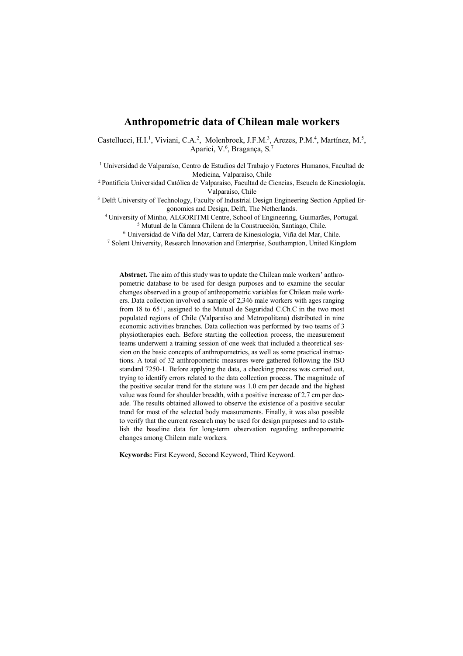# **Anthropometric data of Chilean male workers**

Castellucci, H.I.<sup>1</sup>, Viviani, C.A.<sup>2</sup>, Molenbroek, J.F.M.<sup>3</sup>, Arezes, P.M.<sup>4</sup>, Martínez, M.<sup>5</sup>, Aparici, V.<sup>6</sup>, Bragança, S.<sup>7</sup>

<sup>1</sup> Universidad de Valparaíso, Centro de Estudios del Trabajo y Factores Humanos, Facultad de Medicina, Valparaíso, Chile<br><sup>2</sup> Pontificia Universidad Católica de Valparaíso, Facultad de Ciencias, Escuela de Kinesiología.

Valparaíso, Chile

<sup>3</sup> Delft University of Technology, Faculty of Industrial Design Engineering Section Applied Ergonomics and Design, Delft, The Netherlands.

4 University of Minho, ALGORITMI Centre, School of Engineering, Guimarães, Portugal. <sup>5</sup> Mutual de la Cámara Chilena de la Construcción, Santiago, Chile.<br><sup>6</sup> Universidad de Viña del Mar, Carrera de Kinesiología, Viña del Mar, Chile.

<sup>7</sup> Solent University, Research Innovation and Enterprise, Southampton, United Kingdom

**Abstract.** The aim of this study was to update the Chilean male workers' anthropometric database to be used for design purposes and to examine the secular changes observed in a group of anthropometric variables for Chilean male workers. Data collection involved a sample of 2,346 male workers with ages ranging from 18 to 65+, assigned to the Mutual de Seguridad C.Ch.C in the two most populated regions of Chile (Valparaíso and Metropolitana) distributed in nine economic activities branches. Data collection was performed by two teams of 3 physiotherapies each. Before starting the collection process, the measurement teams underwent a training session of one week that included a theoretical session on the basic concepts of anthropometrics, as well as some practical instructions. A total of 32 anthropometric measures were gathered following the ISO standard 7250-1. Before applying the data, a checking process was carried out, trying to identify errors related to the data collection process. The magnitude of the positive secular trend for the stature was 1.0 cm per decade and the highest value was found for shoulder breadth, with a positive increase of 2.7 cm per decade. The results obtained allowed to observe the existence of a positive secular trend for most of the selected body measurements. Finally, it was also possible to verify that the current research may be used for design purposes and to establish the baseline data for long-term observation regarding anthropometric changes among Chilean male workers.

**Keywords:** First Keyword, Second Keyword, Third Keyword.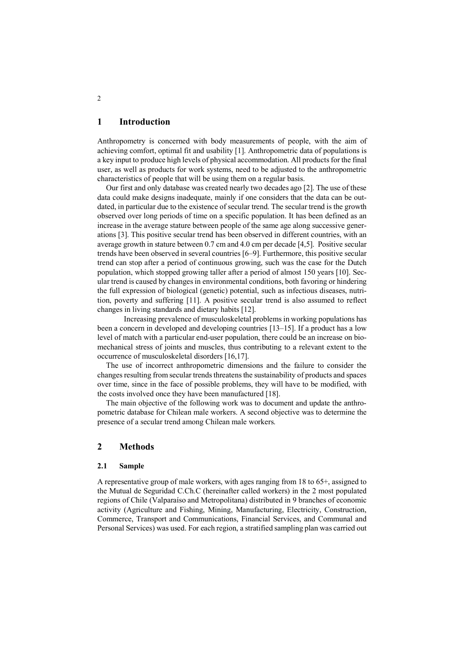## **1 Introduction**

Anthropometry is concerned with body measurements of people, with the aim of achieving comfort, optimal fit and usability [1]. Anthropometric data of populations is a key input to produce high levels of physical accommodation. All products for the final user, as well as products for work systems, need to be adjusted to the anthropometric characteristics of people that will be using them on a regular basis.

Our first and only database was created nearly two decades ago [2]. The use of these data could make designs inadequate, mainly if one considers that the data can be outdated, in particular due to the existence of secular trend. The secular trend is the growth observed over long periods of time on a specific population. It has been defined as an increase in the average stature between people of the same age along successive generations [3]. This positive secular trend has been observed in different countries, with an average growth in stature between 0.7 cm and 4.0 cm per decade [4,5]. Positive secular trends have been observed in several countries [6–9]. Furthermore, this positive secular trend can stop after a period of continuous growing, such was the case for the Dutch population, which stopped growing taller after a period of almost 150 years [10]. Secular trend is caused by changes in environmental conditions, both favoring or hindering the full expression of biological (genetic) potential, such as infectious diseases, nutrition, poverty and suffering [11]. A positive secular trend is also assumed to reflect changes in living standards and dietary habits [12].

Increasing prevalence of musculoskeletal problems in working populations has been a concern in developed and developing countries [13–15]. If a product has a low level of match with a particular end-user population, there could be an increase on biomechanical stress of joints and muscles, thus contributing to a relevant extent to the occurrence of musculoskeletal disorders [16,17].

The use of incorrect anthropometric dimensions and the failure to consider the changes resulting from secular trends threatens the sustainability of products and spaces over time, since in the face of possible problems, they will have to be modified, with the costs involved once they have been manufactured [18].

The main objective of the following work was to document and update the anthropometric database for Chilean male workers. A second objective was to determine the presence of a secular trend among Chilean male workers.

## **2 Methods**

#### **2.1 Sample**

A representative group of male workers, with ages ranging from 18 to 65+, assigned to the Mutual de Seguridad C.Ch.C (hereinafter called workers) in the 2 most populated regions of Chile (Valparaíso and Metropolitana) distributed in 9 branches of economic activity (Agriculture and Fishing, Mining, Manufacturing, Electricity, Construction, Commerce, Transport and Communications, Financial Services, and Communal and Personal Services) was used. For each region, a stratified sampling plan was carried out

2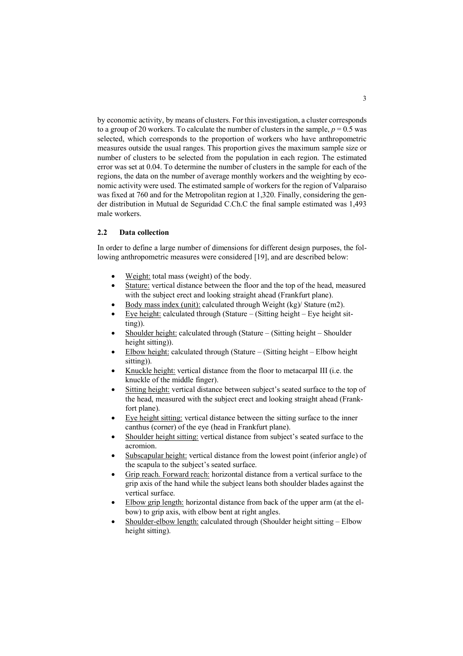by economic activity, by means of clusters. For this investigation, a cluster corresponds to a group of 20 workers. To calculate the number of clusters in the sample,  $p = 0.5$  was selected, which corresponds to the proportion of workers who have anthropometric measures outside the usual ranges. This proportion gives the maximum sample size or number of clusters to be selected from the population in each region. The estimated error was set at 0.04. To determine the number of clusters in the sample for each of the regions, the data on the number of average monthly workers and the weighting by economic activity were used. The estimated sample of workers for the region of Valparaiso was fixed at 760 and for the Metropolitan region at 1,320. Finally, considering the gender distribution in Mutual de Seguridad C.Ch.C the final sample estimated was 1,493 male workers.

### **2.2 Data collection**

In order to define a large number of dimensions for different design purposes, the following anthropometric measures were considered [19], and are described below:

- Weight: total mass (weight) of the body.
- Stature: vertical distance between the floor and the top of the head, measured with the subject erect and looking straight ahead (Frankfurt plane).
- Body mass index (unit): calculated through Weight (kg)/ Stature (m2).
- Eye height: calculated through (Stature  $-$  (Sitting height Eye height sitting)).
- Shoulder height: calculated through (Stature (Sitting height Shoulder height sitting)).
- Elbow height: calculated through (Stature (Sitting height Elbow height sitting)).
- Knuckle height: vertical distance from the floor to metacarpal III (i.e. the knuckle of the middle finger).
- Sitting height: vertical distance between subject's seated surface to the top of the head, measured with the subject erect and looking straight ahead (Frankfort plane).
- Eye height sitting: vertical distance between the sitting surface to the inner canthus (corner) of the eye (head in Frankfurt plane).
- Shoulder height sitting: vertical distance from subject's seated surface to the acromion.
- Subscapular height: vertical distance from the lowest point (inferior angle) of the scapula to the subject's seated surface.
- Grip reach. Forward reach: horizontal distance from a vertical surface to the grip axis of the hand while the subject leans both shoulder blades against the vertical surface.
- Elbow grip length: horizontal distance from back of the upper arm (at the elbow) to grip axis, with elbow bent at right angles.
- Shoulder-elbow length: calculated through (Shoulder height sitting Elbow height sitting).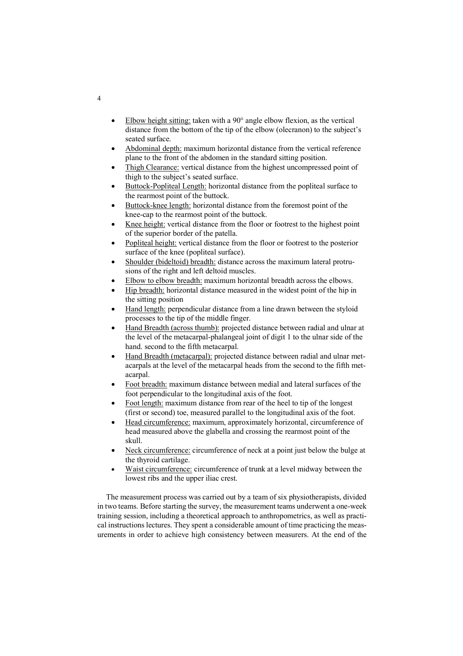- Elbow height sitting: taken with a  $90^{\circ}$  angle elbow flexion, as the vertical distance from the bottom of the tip of the elbow (olecranon) to the subject's seated surface.
- Abdominal depth: maximum horizontal distance from the vertical reference plane to the front of the abdomen in the standard sitting position.
- Thigh Clearance: vertical distance from the highest uncompressed point of thigh to the subject's seated surface.
- Buttock-Popliteal Length: horizontal distance from the popliteal surface to the rearmost point of the buttock.
- Buttock-knee length: horizontal distance from the foremost point of the knee-cap to the rearmost point of the buttock.
- Knee height: vertical distance from the floor or footrest to the highest point of the superior border of the patella.
- Popliteal height: vertical distance from the floor or footrest to the posterior surface of the knee (popliteal surface).
- Shoulder (bideltoid) breadth: distance across the maximum lateral protrusions of the right and left deltoid muscles.
- Elbow to elbow breadth: maximum horizontal breadth across the elbows.
- Hip breadth: horizontal distance measured in the widest point of the hip in the sitting position
- Hand length: perpendicular distance from a line drawn between the styloid processes to the tip of the middle finger.
- Hand Breadth (across thumb): projected distance between radial and ulnar at the level of the metacarpal-phalangeal joint of digit 1 to the ulnar side of the hand. second to the fifth metacarpal.
- Hand Breadth (metacarpal): projected distance between radial and ulnar metacarpals at the level of the metacarpal heads from the second to the fifth metacarpal.
- Foot breadth: maximum distance between medial and lateral surfaces of the foot perpendicular to the longitudinal axis of the foot.
- Foot length: maximum distance from rear of the heel to tip of the longest (first or second) toe, measured parallel to the longitudinal axis of the foot.
- Head circumference: maximum, approximately horizontal, circumference of head measured above the glabella and crossing the rearmost point of the skull.
- Neck circumference: circumference of neck at a point just below the bulge at the thyroid cartilage.
- Waist circumference: circumference of trunk at a level midway between the lowest ribs and the upper iliac crest.

The measurement process was carried out by a team of six physiotherapists, divided in two teams. Before starting the survey, the measurement teams underwent a one-week training session, including a theoretical approach to anthropometrics, as well as practical instructions lectures. They spent a considerable amount of time practicing the measurements in order to achieve high consistency between measurers. At the end of the

4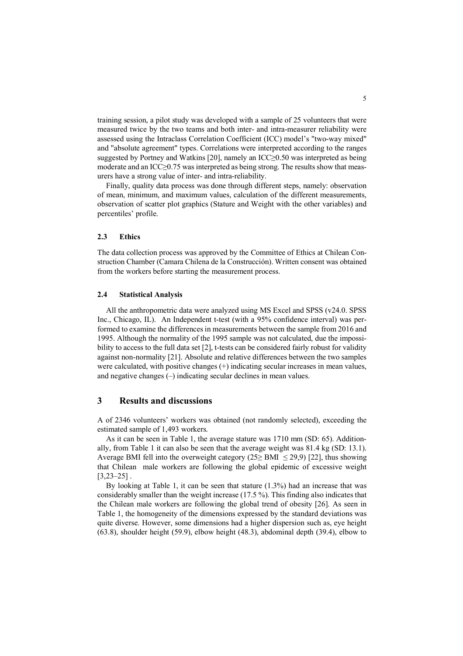training session, a pilot study was developed with a sample of 25 volunteers that were measured twice by the two teams and both inter- and intra-measurer reliability were assessed using the Intraclass Correlation Coefficient (ICC) model's "two-way mixed" and "absolute agreement" types. Correlations were interpreted according to the ranges suggested by Portney and Watkins [20], namely an ICC≥0.50 was interpreted as being moderate and an ICC≥0.75 was interpreted as being strong. The results show that measurers have a strong value of inter- and intra-reliability.

Finally, quality data process was done through different steps, namely: observation of mean, minimum, and maximum values, calculation of the different measurements, observation of scatter plot graphics (Stature and Weight with the other variables) and percentiles' profile.

### **2.3 Ethics**

The data collection process was approved by the Committee of Ethics at Chilean Construction Chamber (Camara Chilena de la Construcción). Written consent was obtained from the workers before starting the measurement process.

#### **2.4 Statistical Analysis**

All the anthropometric data were analyzed using MS Excel and SPSS (v24.0. SPSS Inc., Chicago, IL). An Independent t-test (with a 95% confidence interval) was performed to examine the differences in measurements between the sample from 2016 and 1995. Although the normality of the 1995 sample was not calculated, due the impossibility to access to the full data set [2], t-tests can be considered fairly robust for validity against non-normality [21]. Absolute and relative differences between the two samples were calculated, with positive changes (+) indicating secular increases in mean values, and negative changes (–) indicating secular declines in mean values.

## **3 Results and discussions**

A of 2346 volunteers' workers was obtained (not randomly selected), exceeding the estimated sample of 1,493 workers.

As it can be seen in Table 1, the average stature was 1710 mm (SD: 65). Additionally, from Table 1 it can also be seen that the average weight was 81.4 kg (SD: 13.1). Average BMI fell into the overweight category (25≥ BMI  $\leq$  29,9) [22], thus showing that Chilean male workers are following the global epidemic of excessive weight  $[3,23-25]$ .

By looking at Table 1, it can be seen that stature (1.3%) had an increase that was considerably smaller than the weight increase (17.5 %). This finding also indicates that the Chilean male workers are following the global trend of obesity [26]. As seen in Table 1, the homogeneity of the dimensions expressed by the standard deviations was quite diverse. However, some dimensions had a higher dispersion such as, eye height (63.8), shoulder height (59.9), elbow height (48.3), abdominal depth (39.4), elbow to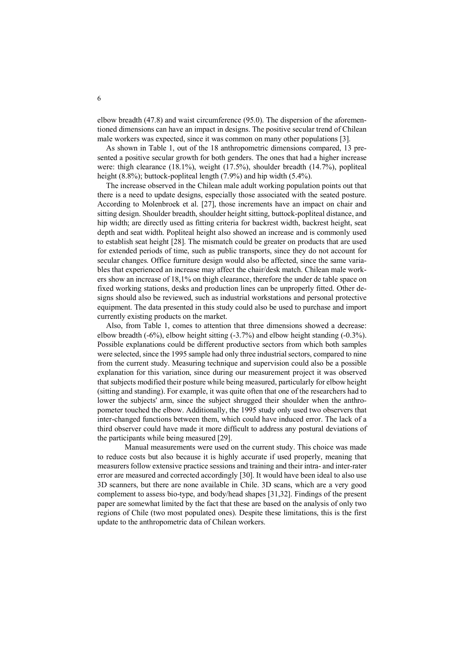elbow breadth (47.8) and waist circumference (95.0). The dispersion of the aforementioned dimensions can have an impact in designs. The positive secular trend of Chilean male workers was expected, since it was common on many other populations [3].

As shown in Table 1, out of the 18 anthropometric dimensions compared, 13 presented a positive secular growth for both genders. The ones that had a higher increase were: thigh clearance (18.1%), weight (17.5%), shoulder breadth (14.7%), popliteal height (8.8%); buttock-popliteal length (7.9%) and hip width (5.4%).

The increase observed in the Chilean male adult working population points out that there is a need to update designs, especially those associated with the seated posture. According to Molenbroek et al. [27], those increments have an impact on chair and sitting design. Shoulder breadth, shoulder height sitting, buttock-popliteal distance, and hip width; are directly used as fitting criteria for backrest width, backrest height, seat depth and seat width. Popliteal height also showed an increase and is commonly used to establish seat height [28]. The mismatch could be greater on products that are used for extended periods of time, such as public transports, since they do not account for secular changes. Office furniture design would also be affected, since the same variables that experienced an increase may affect the chair/desk match. Chilean male workers show an increase of 18,1% on thigh clearance, therefore the under de table space on fixed working stations, desks and production lines can be unproperly fitted. Other designs should also be reviewed, such as industrial workstations and personal protective equipment. The data presented in this study could also be used to purchase and import currently existing products on the market.

Also, from Table 1, comes to attention that three dimensions showed a decrease: elbow breadth (-6%), elbow height sitting (-3.7%) and elbow height standing (-0.3%). Possible explanations could be different productive sectors from which both samples were selected, since the 1995 sample had only three industrial sectors, compared to nine from the current study. Measuring technique and supervision could also be a possible explanation for this variation, since during our measurement project it was observed that subjects modified their posture while being measured, particularly for elbow height (sitting and standing). For example, it was quite often that one of the researchers had to lower the subjects' arm, since the subject shrugged their shoulder when the anthropometer touched the elbow. Additionally, the 1995 study only used two observers that inter-changed functions between them, which could have induced error. The lack of a third observer could have made it more difficult to address any postural deviations of the participants while being measured [29].

Manual measurements were used on the current study. This choice was made to reduce costs but also because it is highly accurate if used properly, meaning that measurers follow extensive practice sessions and training and their intra- and inter-rater error are measured and corrected accordingly [30]. It would have been ideal to also use 3D scanners, but there are none available in Chile. 3D scans, which are a very good complement to assess bio-type, and body/head shapes [31,32]. Findings of the present paper are somewhat limited by the fact that these are based on the analysis of only two regions of Chile (two most populated ones). Despite these limitations, this is the first update to the anthropometric data of Chilean workers.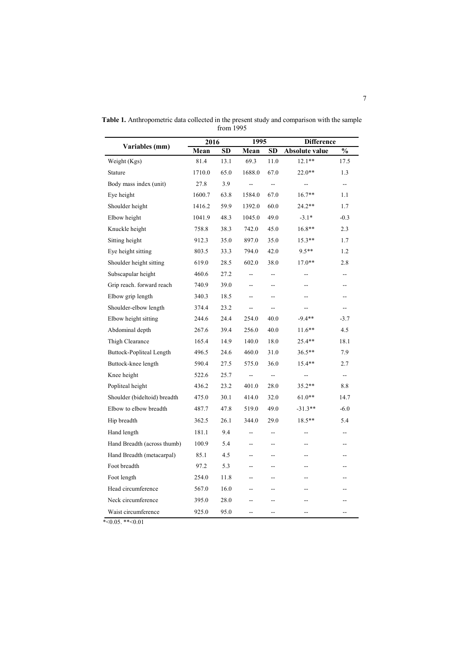| Variables (mm)               | 2016   |                        | 1995                     |                          | <b>Difference</b>        |                |
|------------------------------|--------|------------------------|--------------------------|--------------------------|--------------------------|----------------|
|                              | Mean   | $\overline{\text{SD}}$ | Mean                     | $\overline{\text{SD}}$   | Absolute value           | $\frac{0}{0}$  |
| Weight (Kgs)                 | 81.4   | 13.1                   | 69.3                     | 11.0                     | $12.1**$                 | 17.5           |
| Stature                      | 1710.0 | 65.0                   | 1688.0                   | 67.0                     | $22.0**$                 | 1.3            |
| Body mass index (unit)       | 27.8   | 3.9                    | $\overline{a}$           | $\overline{\phantom{a}}$ | $\overline{a}$           | --             |
| Eye height                   | 1600.7 | 63.8                   | 1584.0                   | 67.0                     | $16.7**$                 | 1.1            |
| Shoulder height              | 1416.2 | 59.9                   | 1392.0                   | 60.0                     | 24.2**                   | 1.7            |
| Elbow height                 | 1041.9 | 48.3                   | 1045.0                   | 49.0                     | $-3.1*$                  | $-0.3$         |
| Knuckle height               | 758.8  | 38.3                   | 742.0                    | 45.0                     | 16.8**                   | 2.3            |
| Sitting height               | 912.3  | 35.0                   | 897.0                    | 35.0                     | $15.3**$                 | 1.7            |
| Eye height sitting           | 803.5  | 33.3                   | 794.0                    | 42.0                     | $9.5**$                  | 1.2            |
| Shoulder height sitting      | 619.0  | 28.5                   | 602.0                    | 38.0                     | $17.0**$                 | 2.8            |
| Subscapular height           | 460.6  | 27.2                   | Ξ.                       | Ξ.                       | $-$                      | $\overline{a}$ |
| Grip reach. forward reach    | 740.9  | 39.0                   | $-$                      | $-$                      | $-$                      | $-$            |
| Elbow grip length            | 340.3  | 18.5                   | $\overline{\phantom{a}}$ | --                       | $-$                      | --             |
| Shoulder-elbow length        | 374.4  | 23.2                   | $\overline{\phantom{a}}$ | --                       | $\overline{\phantom{a}}$ | --             |
| Elbow height sitting         | 244.6  | 24.4                   | 254.0                    | 40.0                     | $-9.4**$                 | $-3.7$         |
| Abdominal depth              | 267.6  | 39.4                   | 256.0                    | 40.0                     | $11.6**$                 | 4.5            |
| Thigh Clearance              | 165.4  | 14.9                   | 140.0                    | 18.0                     | $25.4**$                 | 18.1           |
| Buttock-Popliteal Length     | 496.5  | 24.6                   | 460.0                    | 31.0                     | $36.5**$                 | 7.9            |
| Buttock-knee length          | 590.4  | 27.5                   | 575.0                    | 36.0                     | $15.4**$                 | 2.7            |
| Knee height                  | 522.6  | 25.7                   | $\overline{a}$           | $\overline{\phantom{a}}$ | $-$                      | --             |
| Popliteal height             | 436.2  | 23.2                   | 401.0                    | 28.0                     | 35.2**                   | 8.8            |
| Shoulder (bideltoid) breadth | 475.0  | 30.1                   | 414.0                    | 32.0                     | $61.0**$                 | 14.7           |
| Elbow to elbow breadth       | 487.7  | 47.8                   | 519.0                    | 49.0                     | $-31.3**$                | $-6.0$         |
| Hip breadth                  | 362.5  | 26.1                   | 344.0                    | 29.0                     | 18.5**                   | 5.4            |
| Hand length                  | 181.1  | 9.4                    | $\overline{a}$           | $-$                      | $-$                      | $-$            |
| Hand Breadth (across thumb)  | 100.9  | 5.4                    | --                       | --                       | $-$                      | --             |
| Hand Breadth (metacarpal)    | 85.1   | 4.5                    | $\overline{\phantom{a}}$ | $-$                      | $\overline{\phantom{a}}$ | --             |
| Foot breadth                 | 97.2   | 5.3                    | $\overline{a}$           | $-$                      | $-$                      |                |
| Foot length                  | 254.0  | 11.8                   | $-$                      | $-$                      | $-$                      | --             |
| Head circumference           | 567.0  | 16.0                   | $-$                      | $-$                      | $-$                      |                |
| Neck circumference           | 395.0  | 28.0                   | --                       | --                       | --                       |                |
| Waist circumference          | 925.0  | 95.0                   | $\overline{a}$           | $-$                      | $-$                      | --             |

**Table 1.** Anthropometric data collected in the present study and comparison with the sample from 1995

 $*<0.05$ .  $*<0.01$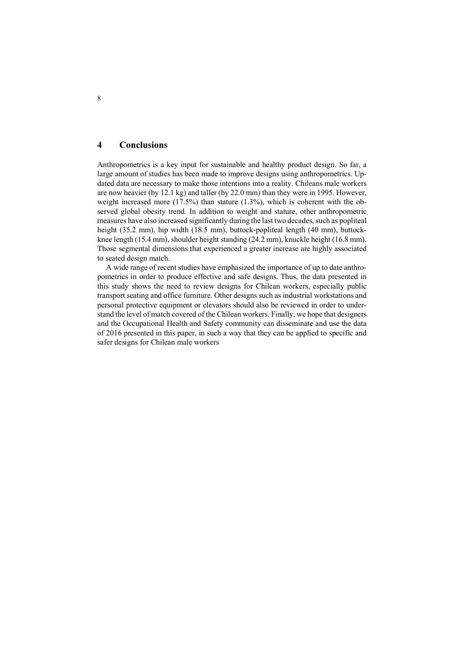### **4 Conclusions**

Anthropometrics is a key input for sustainable and healthy product design. So far, a large amount of studies has been made to improve designs using anthropometrics. Updated data are necessary to make those intentions into a reality. Chileans male workers are now heavier (by 12.1 kg) and taller (by 22.0 mm) than they were in 1995. However, weight increased more (17.5%) than stature (1.3%), which is coherent with the observed global obesity trend. In addition to weight and stature, other anthropometric measures have also increased significantly during the last two decades, such as popliteal height (35.2 mm), hip width (18.5 mm), buttock-popliteal length (40 mm), buttockknee length (15.4 mm), shoulder height standing (24.2 mm), knuckle height (16.8 mm). Those segmental dimensions that experienced a greater increase are highly associated to seated design match.

A wide range of recent studies have emphasized the importance of up to date anthropometrics in order to produce effective and safe designs. Thus, the data presented in this study shows the need to review designs for Chilean workers, especially public transport seating and office furniture. Other designs such as industrial workstations and personal protective equipment or elevators should also be reviewed in order to understand the level of match covered of the Chilean workers. Finally, we hope that designers and the Occupational Health and Safety community can disseminate and use the data of 2016 presented in this paper, in such a way that they can be applied to specific and safer designs for Chilean male workers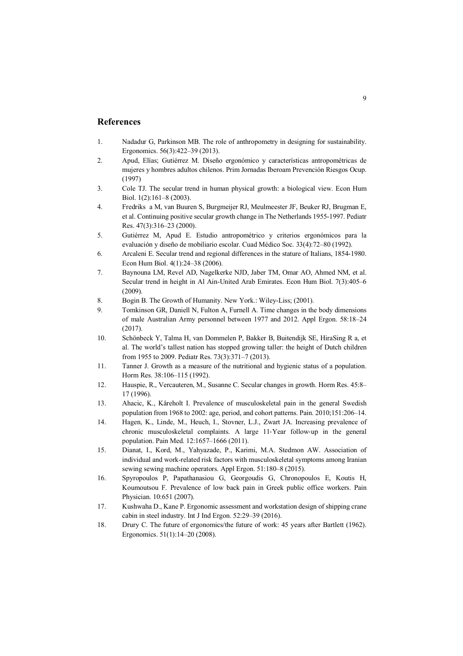### **References**

- 1. Nadadur G, Parkinson MB. The role of anthropometry in designing for sustainability. Ergonomics. 56(3):422–39 (2013).
- 2. Apud, Elías; Gutiérrez M. Diseño ergonómico y características antropométricas de mujeres y hombres adultos chilenos. Prim Jornadas Iberoam Prevención Riesgos Ocup. (1997)
- 3. Cole TJ. The secular trend in human physical growth: a biological view. Econ Hum Biol. 1(2):161–8 (2003).
- 4. Fredriks a M, van Buuren S, Burgmeijer RJ, Meulmeester JF, Beuker RJ, Brugman E, et al. Continuing positive secular growth change in The Netherlands 1955-1997. Pediatr Res. 47(3):316–23 (2000).
- 5. Gutiérrez M, Apud E. Estudio antropométrico y criterios ergonómicos para la evaluación y diseño de mobiliario escolar. Cuad Médico Soc. 33(4):72–80 (1992).
- 6. Arcaleni E. Secular trend and regional differences in the stature of Italians, 1854-1980. Econ Hum Biol. 4(1):24–38 (2006).
- 7. Baynouna LM, Revel AD, Nagelkerke NJD, Jaber TM, Omar AO, Ahmed NM, et al. Secular trend in height in Al Ain-United Arab Emirates. Econ Hum Biol. 7(3):405–6 (2009).
- 8. Bogin B. The Growth of Humanity. New York.: Wiley-Liss; (2001).
- 9. Tomkinson GR, Daniell N, Fulton A, Furnell A. Time changes in the body dimensions of male Australian Army personnel between 1977 and 2012. Appl Ergon. 58:18–24 (2017).
- 10. Schönbeck Y, Talma H, van Dommelen P, Bakker B, Buitendijk SE, HiraSing R a, et al. The world's tallest nation has stopped growing taller: the height of Dutch children from 1955 to 2009. Pediatr Res. 73(3):371–7 (2013).
- 11. Tanner J. Growth as a measure of the nutritional and hygienic status of a population. Horm Res. 38:106–115 (1992).
- 12. Hauspie, R., Vercauteren, M., Susanne C. Secular changes in growth. Horm Res. 45:8– 17 (1996).
- 13. Ahacic, K., Kåreholt I. Prevalence of musculoskeletal pain in the general Swedish population from 1968 to 2002: age, period, and cohort patterns. Pain. 2010;151:206–14.
- 14. Hagen, K., Linde, M., Heuch, I., Stovner, L.J., Zwart JA. Increasing prevalence of chronic musculoskeletal complaints. A large 11-Year follow-up in the general population. Pain Med. 12:1657–1666 (2011).
- 15. Dianat, I., Kord, M., Yahyazade, P., Karimi, M.A. Stedmon AW. Association of individual and work-related risk factors with musculoskeletal symptoms among Iranian sewing sewing machine operators. Appl Ergon. 51:180–8 (2015).
- 16. Spyropoulos P, Papathanasiou G, Georgoudis G, Chronopoulos E, Koutis H, Koumoutsou F. Prevalence of low back pain in Greek public office workers. Pain Physician. 10:651 (2007).
- 17. Kushwaha D., Kane P. Ergonomic assessment and workstation design of shipping crane cabin in steel industry. Int J Ind Ergon. 52:29–39 (2016).
- 18. Drury C. The future of ergonomics/the future of work: 45 years after Bartlett (1962). Ergonomics. 51(1):14–20 (2008).